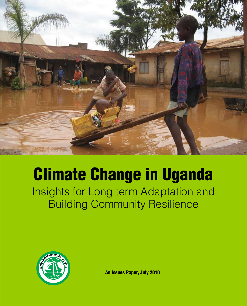

# Climate Change in Uganda

Insights for Long term Adaptation and Building Community Resilience



An Issues Paper, July 2010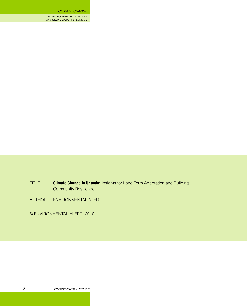*CLIMATE CHANGE*

INSIGHTS FOR LONG TERM ADAPTATION AND BUILDING COMMUNITY RESILIENCE.

- TITLE: **Climate Change in Uganda:** Insights for Long Term Adaptation and Building Community Resilience
- AUTHOR: ENVIRONMENTAL ALERT

© ENVIRONMENTAL ALERT, 2010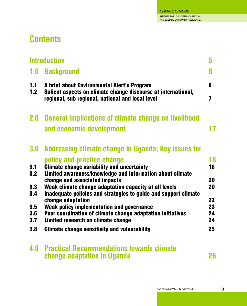## **Contents**

|            | <b>Introduction</b>                                                                                                      | 5                       |
|------------|--------------------------------------------------------------------------------------------------------------------------|-------------------------|
|            | 1.0 Background                                                                                                           | 6                       |
| 1.1        | A brief about Environmental Alert's Program                                                                              | 6                       |
| 1.2        | Salient aspects on climate change discourse at international,<br>regional, sub regional, national and local level        | $\overline{\mathbf{z}}$ |
|            | 2.0 General implications of climate change on livelihood                                                                 |                         |
|            | and economic development                                                                                                 | 17                      |
| 3.0        | Addressing climate change in Uganda; Key issues for                                                                      |                         |
|            | policy and practice change                                                                                               | 18                      |
| 3.1<br>3.2 | <b>Climate change variability and uncertainty</b><br>Limited awareness/knowledge and information about climate           | 18                      |
|            | change and associated impacts                                                                                            | 20                      |
| 3.3<br>3.4 | Weak climate change adaptation capacity at all levels<br>Inadequate policies and strategies to guide and support climate | 20                      |
|            | change adaptation                                                                                                        | 22                      |
| 3.5        | Weak policy implementation and governance                                                                                | 23                      |
| 3.6        | Poor coordination of climate change adaptation initiatives                                                               | 24                      |
| 3.7        | Limited research on climate change                                                                                       | 24                      |
| 3.8        | <b>Climate change sensitivity and vulnerability</b>                                                                      | 25                      |
| 4.0        | <b>Practical Recommendations towards climate</b>                                                                         |                         |

**change adaptation in Uganda 26**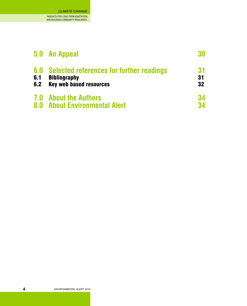|            | 5.0 An Appeal                                                                                         |                |
|------------|-------------------------------------------------------------------------------------------------------|----------------|
| 6.1<br>6.2 | 6.0 Selected references for further readings<br><b>Bibliography</b><br><b>Key web based resources</b> | 31<br>31<br>32 |
|            | <b>7.0 About the Authors</b><br><b>8.0 About Environmental Alert</b>                                  | 34<br>34       |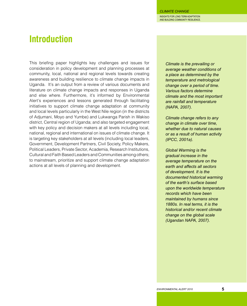### **Introduction**

This briefing paper highlights key challenges and issues for consideration in policy development and planning processes at community, local, national and regional levels towards creating awareness and building resilience to climate change impacts in Uganda. It's an output from a review of various documents and literature on climate change impacts and responses in Uganda and else where. Furthermore, it's informed by Environmental Alert's experiences and lessons generated through facilitating initiatives to support climate change adaptation at community and local levels particularly in the West Nile region (in the districts of Adjumani, Moyo and Yumbe) and Lukwanga Parish in Wakiso district, Central region of Uganda; and also targeted engagement with key policy and decision makers at all levels including local, national, regional and international on issues of climate change. It is targeting key stakeholders at all levels (including local leaders, Government, Development Partners, Civil Society, Policy Makers, Political Leaders, Private Sector, Academia, Research Institutions, Cultural and Faith Based Leaders and Communities among others; to mainstream, prioritize and support climate change adaptation actions at all levels of planning and development.

*Climate is the prevailing or average weather conditions of a place as determined by the temperature and metrological change over a period of time. Various factors determine climate and the most important are rainfall and temperature (NAPA, 2007).* 

*Climate change refers to any change in climate over time, whether due to natural causes or as a result of human activity (IPCC, 2001a).* 

*Global Warming is the gradual increase in the average temperature on the earth and affects all sectors of development. It is the documented historical warming of the earth's surface based upon the worldwide temperature records which have been maintained by humans since 1880s. In real terms, it is the historical and/or recent climate change on the global scale (Ugandan NAPA, 2007).*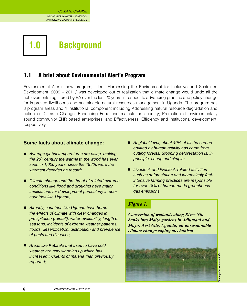

#### 1.1 A brief about Environmental Alert's Program

Environmental Alert's new program, titled, 'Harnessing the Environment for Inclusive and Sustained Development, 2009 – 2011,' was developed out of realization that climate change would undo all the achievements registered by EA over the last 20 years in respect to advancing practice and policy change for improved livelihoods and suatainable natural resources management in Uganda. The program has 3 program areas and 1 institutional component including Addressing natural resource degradation and action on Climate Change; Enhancing Food and malnutrition security; Promotion of environmentally sound community ENR based enterprises; and Effectiveness, Efficiency and Institutional development, respectively.

#### **Some facts about climate change:**

- *Average global temperatures are rising, making the 20th century the warmest, the world has ever seen in 1,000 years, since the 1980s were the warmest decades on record;*
- *Climate change and the threat of related extreme conditions like flood and droughts have major implications for development particularly in poor countries like Uganda;*
- *Already, countries like Uganda have borne the effects of climate with clear changes in precipitation (rainfall), water availability, length of seasons, incidents of extreme weather patterns, floods, desertification, distribution and prevalence of pests and diseases;*
- *Areas like Kabaale that used to have cold weather are now warming up which has increased incidents of malaria than previously reported;*
- *At global level, about 40% of all the carbon emitted by human activity has come from cutting forests. Stopping deforestation is, in principle, cheap and simple;*
- *Livestock and livestock-related activities such as deforestation and increasingly fuelintensive farming practices are responsible for over 18% of human-made greenhouse gas emissions.*

#### *Figure 1.*

*Conversion of wetlands along River Nile banks into Maize gardens in Adjumani and Moyo, West Nile, Uganda; an unsustainable climate change coping mechanism* 

*Photo by Environmental Alert* 

 $by En$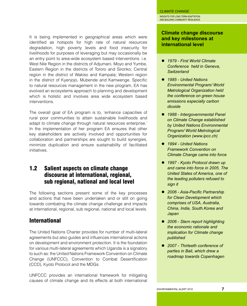It is being implemented in geographical areas which were identified as hotspots for high rate of natural resources degradation, high poverty levels and food insecurity for livelihoods for purposes of leveraging but may occasionally be an entry point to area-wide ecosystem based interventions. i.e. West Nile Region in the districts of Adjumani, Moyo and Yumbe, Eastern Region in the districts of Tororo and Sironko; Central region in the district of Wakiso and Kampala; Western region in the district of Kyenjojo, Mubende and Kamwenge. Specific to natural resources management in the new program, EA has evolved an ecosystems approach to planning and development which is holistic and involves area wide ecosystem based interventions.

The overall goal of EA program is to, 'enhance capacities of rural poor communities to attain sustainable livelihoods and adapt to climate change through natural resources enterprise.' In the implementation of her program EA ensures that other key stakeholders are actively involved and opportunities for collaboration and partnerships are sought to build synergies, minimize duplication and ensure sustainability of facilitated initiatives.

#### 1.2 Salient aspects on climate change discourse at international, regional, sub regional, national and local level

The following sections present some of the key processes and actions that have been undertaken and or still on going towards combating the climate change challenge and impacts at international, regional, sub regional, national and local levels.

#### International

The United Nations Charter provides for number of multi-lateral agreements but also guides and influences international actions on development and environment protection. It is the foundation for various multi-lateral agreements which Uganda is a signatory to such as: the United Nations Framework Convention on Climate Change (UNFCCC), Convention to Combat Desertification (CCD), Kyoto Protocol and the MDGs.

UNFCCC provides an international framework for mitigating causes of climate change and its effects at both international

#### *CLIMATE CHANGE*

INSIGHTS FOR LONG TERM ADAPTATION AND BUILDING COMMUNITY RESILIENCE.

#### **Climate change discourse and key milestones at international level**

- *1979 First World Climate Conference held in Geneva, Switzerland*
- *1985 United Nations Environmental Program/ World Metrological Organization held the conference on green house emissions especially carbon dioxide*
- *1988 Intergovernmental Panel on Climate Change established by United Nations Environmental Program/ World Metrological Organization (www.ipcc.ch)*
- *1994 United Nations Framework Convention on Climate Change came into force*
- *1997 Kyoto Protocol drawn up and came into force in 2005. The United States of America, one of the leading polluters refused to sign it*
- *2006 Asia-Pacific Partnership for Clean Development which comprises of USA, Australia, China, India, South.Korea and Japan*
- *2006 Stern report highlighting the economic rationale and implication for Climate change published*
- *2007 Thirteeth conference of parties in Bali, which drew a roadmap towards Copenhagen*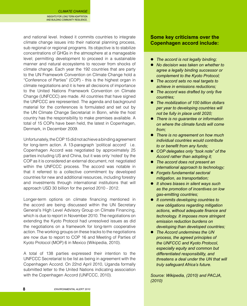and national level. Indeed it commits countries to integrate climate change issues into their national planning process, sub regional or regional programs. Its objective is to stabilize concentrations of GHGs in the atmosphere at a manageable level; permitting development to proceed in a sustainable manner and natural ecosystems to recover from shocks of climate change. Each year the 192 countries that are party to the UN Framework Convention on Climate Change hold a "Conference of Parties" (COP) - this is the highest organ in climate negotiations and it is here all decisions of importance to the United Nations Framework Convention on Climate Change (UNFCCC) are made. All countries that have signed the UNFCCC are represented. The agenda and background material for the conferences is formulated and set out by the UN Climate Change Secretariat in Bonn, while the host country has the responsibility to make premises available. A total of 15 COPs have been held, the latest in Copenhagen, Denmark, in December 2009.

Unfortunately, the COP 15 did not achieve a binding agreement for long-term action. A 13-paragraph 'political accord' i.e. Copenhagen Accord was negotiated by approximately 25 parties including US and China, but it was only 'noted' by the COP as it is considered an external document, not negotiated within the UNFCCC process. The accord was notable in that it referred to a collective commitment by developed countries for new and additional resources, including forestry and investments through international institutions that will approach USD 30 billion for the period 2010 - 2012.

Longer-term options on climate financing mentioned in the accord are being discussed within the UN Secretary General's High Level Advisory Group on Climate Financing, which is due to report in November 2010. The negotiations on extending the Kyoto Protocol had unresolved issues as did the negotiations on a framework for long-term cooperative action. The working groups on these tracks to the negotiations are now due to report to COP 16 and Meeting of Parties of Kyoto Protocol (MOP) 6 in Mexico (Wikipedia, 2010).

A total of 138 parties expressed their intention to the UNFCCC Secretariat to be list as being in agreement with the Copenhagen Accord. On 22nd April 2010, Uganda formally submitted letter to the United Nations indicating association with the Copenhagen Accord (UNFCCC, 2010).

#### **Some key criticisms over the Copenhagen accord include:**

- *The accord is not legally binding;*
- *No decision was taken on whether to agree a legally binding successor or complement to the Kyoto Protocol;*
- *The accord sets no real targets to achieve in emissions reductions;*
- *The accord was drafted by only five countries;*
- *The mobilization of 100 billion dollars per year to developing countries will not be fully in place until 2020;*
- *There is no guarantee or information on where the climate funds will come from;*
- *There is no agreement on how much individual countries would contribute to or benefit from any funds;*
- *COP delegates only "took note" of the Accord rather than adopting it;*
- *The accord does not present an international approach to technology;*
- *Forgets fundamental sectoral mitigation, as transportation;*
- *It shows biases in silent ways such as the promotion of incentives on low gas-emitting countries;*
- *It commits developing countries to new obligations regarding mitigation actions, without adequate finance and technology. It imposes more stringent emission reduction burdens on developing than developed countries;*
- *The Accord undermines the UN process, the agreed principles of the UNFCCC and Kyoto Protocol, especially equity and common but differentiated responsibility, and threatens a deal under the UN that will truly safeguard Africa's future.*

*Source: Wikipedia, (2010) and PACJA, (2010)*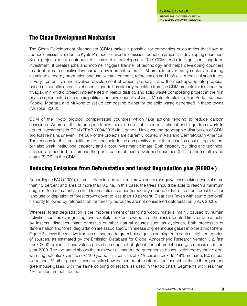#### The Clean Development Mechanism

The Clean Development Mechanism (CDM) makes it possible for companies or countries that have to reduce emissions under the Kyoto Protocol to invest in emission reduction projects in developing countries. Such projects must contribute to sustainable development. The CDM leads to significant long-term investment; it creates jobs and income, triggers transfer of technology and helps developing countries to adopt climate-sensitive low carbon development paths. CDM projects cover many sectors, including sustainable energy production and use, waste treatment, reforestation and biofuels. Access of such funds is very competitive and involves development of project proposals and the most appropriate proposal based on specific criteria is chosen. Uganda has already benefited from the CDM projects for instance the Nyagak mini-hydro project implemented in Nebbi district; and solid waste composting project in the first phase implemented nine municipalities and town councils of Jinja, Mbale, Soroti, Lira, Fort Portal, Kasese, Kabale, Mbarara and Mukono to set up composting plants for the solid waste generated in these towns (Musoke, 2008).

CDM of the Kyoto protocol compensates countries which take actions tending to reduce carbon emissions. Where as this is an opportunity, there is no established institutional and legal framework to attract investments in CDM (PEAP, 2004/2005) in Uganda. However, the geographic distribution of CDM projects remains uneven. The bulk of the projects are currently located in Asia and Central/South America. The reasons for this are multifaceted, and include the complexity and high transaction cost of registration, but also weak institutional capacity and a poor investment climate. Both capacity building and technical support are needed to increase the participation of least developed countries (LDCs) and small island states (SIDS) in the CDM.

#### Reducing Emissions from Deforestation and forest Degradation plus (REDD+)

According to FAO (2000), a forest refers to land with tree crown cover (or equivalent stocking level) of more than 10 percent and area of more than 0.5 ha. In this case, the trees should be able to reach a minimum height of 5 m at maturity in situ. Deforestation is a non-temporary change of land use from forest to other land use or depletion of forest crown cover to less than 10 percent. Clear cuts (even with stump removal) if shortly followed by reforestation for forestry purposes are not considered deforestation (FAO, 2000).

Whereas, forest degradation is the impoverishment of standing woody material mainly caused by human activities such as over-grazing, over-exploitation (for firewood in particular), repeated fires, or due attacks by insects, diseases, plant parasites or other natural causes such as cyclones, both processes of deforestation and forest degradation are associated with release of greenhouse gases into the atmosphere. Figure 3 shows the relative fraction of man-made greenhouse gases coming from each of eight categories of sources, as estimated by the Emission Database for Global Atmospheric Research version 3.2, fast track 2000 project. These values provide a snapshot of global annual greenhouse gas emissions in the year 2000. The top panel shows the sum over all man-made greenhouse gases, weighted by their global warming potential over the next 100 years. This consists of 72% carbon dioxide, 18% methane, 8% nitrous oxide and 1% other gases. Lower panels show the comparable information for each of these three primary greenhouse gases, with the same coloring of sectors as used in the top chart. Segments with less than 1% fraction are not labeled.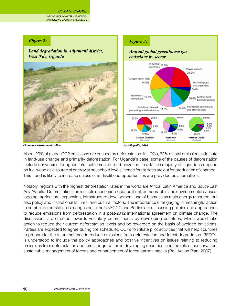

**Photo by Environmental Alert** By Wikipedia, 2010

About 20% of global CO2 emissions are caused by deforestation. In LDCs, 62% of total emissions originate in land-use change and primarily deforestation. For Uganda's case, some of the causes of deforestation include conversion for agriculture, settlement and urbanization. In addition majority of Ugandans depend on fuel wood as a source of energy at household levels, hence forest trees are cut for production of charcoal. This trend is likely to increase unless other livelihood opportunities are provided as alternatives.

Notably, regions with the highest deforestation rates in the world are Africa, Latin America and South-East Asia/Pacific. Deforestation has multiple economic, socio-political, demographic and environmental causes: logging, agricultural expansion, infrastructure development, use of biomass as main energy resource, but also policy and institutional failures, and cultural factors. The importance of engaging in meaningful action to combat deforestation is recognized in the UNFCCC and Parties are discussing policies and approaches to reduce emissions from deforestation in a post-2012 international agreement on climate change. The discussions are directed towards voluntary commitments by developing countries, which would take action to reduce their current deforestation levels and be rewarded on the basis of avoided emissions. Parties are expected to agree during the scheduled COPs to initiate pilot activities that will help countries to prepare for the future scheme to reduce emissions from deforestation and forest degradation. REDD+ is understood to include the policy approaches and positive incentives on issues relating to reducing emissions from deforestation and forest degradation in developing countries; and the role of conservation, sustainable management of forests and enhancement of forest carbon stocks (Bali Action Plan, 2007).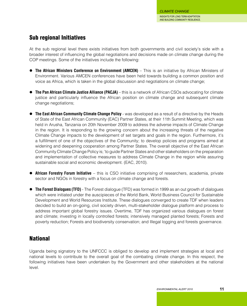#### Sub regional Initiatives

At the sub regional level there exists initiatives from both governments and civil society's side with a broader interest of influencing the global negotiations and decisions made on climate change during the COP meetings. Some of the initiatives include the following:

- **The African Ministers Conference on Environment (AMCEN)** This is an initiative by African Ministers of Environment. Various AMCEN conferences have been held towards building a common position and voice as Africa, which is taken in the global discussion and negotiations on climate change;
- The Pan African Climate Justice Alliance (PACJA) this is a network of African CSOs advocating for climate justice and particularly influence the African position on climate change and subsequent climate change negotiations;
- **The East African Community Climate Change Policy** was developed as a result of a directive by the Heads of State of the East African Community (EAC) Partner States, at their 11th Summit Meeting, which was held in Arusha, Tanzania on 20th November 2009 to address the adverse impacts of Climate Change in the region. It is responding to the growing concern about the increasing threats of the negative Climate Change impacts to the development of set targets and goals in the region. Furthermore, it's a fulfillment of one of the objectives of the Community; to develop policies and programs aimed at widening and deepening cooperation among Partner States. The overall objective of the East African Community Climate Change Policy is; 'to guide Partner States and other stakeholders on the preparation and implementation of collective measures to address Climate Change in the region while assuring sustainable social and economic development. (EAC, 2010).
- **African Forestry Forum Initiative** this is CSO initiative comprising of researchers, academia, private sector and NGOs in forestry with a focus on climate change and forests.
- The Forest Dialogues (TFD) The Forest dialogue (TFD) was formed in 1999 as an out growth of dialogues which were initiated under the auscipieces of the World Bank, World Business Council for Sustainable Development and World Resources Institute. These dialogues converged to create TDF when leaders decided to build an on-going, civil society driven, multi-stakeholder dialogue platform and process to address important global forestry issues. Overtime, TDF has organized various dialogues on forest and climate; investing in locally controlled forests; intensively managed planted forests; Forests and poverty reduction; Forests and biodiversity conservation; and Illegal logging and forests governance.

#### **National**

Uganda being signatory to the UNFCCC is obliged to develop and implement strategies at local and national levels to contribute to the overall goal of the combating climate change. In this respect, the following initiatives have been undertaken by the Government and other stakeholders at the national level.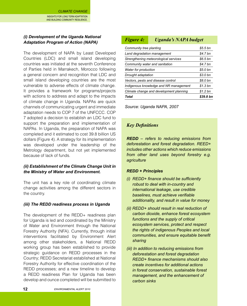#### *(i) Development of the Uganda National Adaptation Program of Action (NAPA)*

The development of NAPA by Least Developed Countries (LDC) and small island developing countries was initiated at the seventh Conference of Parties held in Marrakech, Morocco following a general concern and recognition that LDC and small island developing countries are the most vulnerable to adverse effects of climate change. It provides a framework for programs/projects with actions to address and adapt to the impacts of climate change in Uganda. NAPAs are quick channels of communicating urgent and immediate adaptation needs to COP 7 of the UNFCCC. COP 7 adopted a decision to establish an LDC fund to support the preparation and implementation of NAPAs. In Uganda, the preparation of NAPA was completed and it estimated to cost 39.8 billion US dollars (Figure 4). A strategy for its implementation was developed under the leadership of the Metrology department, but not yet implemented because of lack of funds.

#### *(ii) Establishment of the Climate Change Unit in the Ministry of Water and Environment.*

The unit has a key role of coordinating climate change activities among the different sectors in the country.

#### *(iii) The REDD readiness process in Uganda*

The development of the REDD+ readiness plan for Uganda is led and coordinated by the Ministry of Water and Environment through the National Forestry Authority (NFA). Currently, through initial interventions facilitated by Environment Alert among other stakeholders, a National REDD working group has been established to provide strategic guidance on REDD processes in the Country; REDD Secretariat established at National Forestry Authority for effective coordination of the REDD processes; and a new timeline to develop a REDD readiness Plan for Uganda has been develop and ounce completed will be submitted to

| <b>Figure 4:</b>                        | <b>Uganda's NAPA budget</b> |                     |
|-----------------------------------------|-----------------------------|---------------------|
| Community tree planting                 |                             | \$5.5 bn            |
| Land degradation management             |                             | \$4.7 <sub>bn</sub> |
| Strengthening meteorological services   |                             | \$6.5 bn            |
| Community water and sanitation          |                             | $$4.7$ bn           |
| Water for production                    |                             | \$5.0 <sub>bn</sub> |
| Drought adaptation                      |                             | \$3.0 <sub>bn</sub> |
| Vectors, pests and disease control      |                             | \$8.0 bn            |
| Indigenous knowledge and NR management  |                             | \$1.3 bh            |
| Climate change and development planning |                             | \$1.2 bn            |
| Total                                   |                             | \$39.8 bn           |

*Source: Uganda NAPA, 2007*

#### *Key Definitions*

*REDD – refers to reducing emissions from deforestation and forest degradation. REED+ includes other actions which reduce emissions from other land uses beyond forestry e.g. agriculture*

#### *REDD + Principles*

- *(i) REDD+ finance should be sufficiently robust to deal with in-country and international leakage, use credible baselines, must achieve verifiable additionality, and result in value for money*
- *(ii) REDD+ should result in real reduction of carbon dioxide, enhance forest ecosystem functions and the supply of critical ecosystem services, protect and respect the rights of indigenous Peoples and local communities, and ensure equitable benefit sharing*
- *(iii) In addition to reducing emissions from deforestation and forest degradation REDD+ finance mechanisms should also create incentives for additional actions in forest conservation, sustainable forest management, and the enhancement of carbon sinks*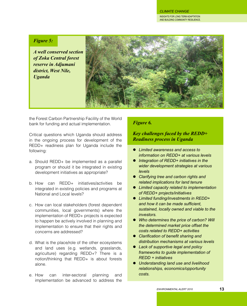#### *Figure 5:*

*A well conserved section of Zoka Central forest reserve in Adjumani district, West Nile, Uganda* 



the Forest Carbon Partnership Facility of the World bank for funding and actual implementation.

Critical questions which Uganda should address in the ongoing process for development of the REDD+ readiness plan for Uganda include the following:

- a. Should REDD+ be implemented as a parallel program or should it be integrated in existing development initiatives as appropriate?
- b. How can REDD+ initiatives/activities be integrated in existing policies and programs at National and Local levels?
- c. How can local stakeholders (forest dependent communities, local governments) where the implementation of REDD+ projects is expected to happen be actively involved in planning and implementation to ensure that their rights and concerns are addressed?
- d. What is the place/role of the other ecosystems and land uses (e.g. wetlands, grasslands, agriculture) regarding REDD+? There is a notion/thinking that REDD+ is about forests alone.
- e. How can inter-sectoral planning and implementation be advanced to address the

#### *Figure 6.*

#### *Key challenges faced by the REDD+ Readiness process in Uganda*

- *Limited awareness and access to information on REDD+ at various levels*
- *Integration of REDD+ initiatives in the wider development strategies at various levels*
- *Clarifying tree and carbon rights and related implications for land tenure*
- *Limited capacity related to implementation of REDD+ projects/initiatives*
- *Limited funding/investments in REDD+ and how it can be made sufficient, sustained, locally owned and viable to the investors.*
- *Who determines the price of carbon? Will the determined market price offset the costs related to REDD+ activities*
- *Clarification of benefit sharing and distribution mechanisms at various levels*
- *Lack of supportive legal and policy frameworks to guide implementation of REDD + initiatives*
- *Understanding land use and livelihood relationships, economics/opportunity costs.*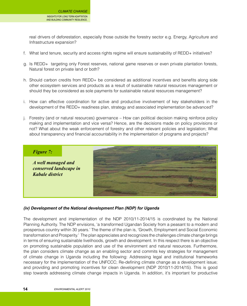real drivers of deforestation, especially those outside the forestry sector e.g. Energy, Agriculture and Infrastructure expansion?

- f. What land tenure, security and access rights regime will ensure sustainability of REDD+ initiatives?
- g. Is REDD+ targeting only Forest reserves, national game reserves or even private plantation forests, Natural forest on private land or both?
- h. Should carbon credits from REDD+ be considered as additional incentives and benefits along side other ecosystem services and products as a result of sustainable natural resources management or should they be considered as sole payments for sustainable natural resources management?
- i. How can effective coordination for active and productive involvement of key stakeholders in the development of the REDD+ readiness plan, strategy and associated implementation be advanced?
- j. Forestry (and or natural resources) governance How can political decision making reinforce policy making and implementation and vice versa? Hence, are the decisions made on policy provisions or not? What about the weak enforcement of forestry and other relevant policies and legislation; What about transparency and financial accountability in the implementation of programs and projects?



#### *(iv) Development of the National development Plan (NDP) for Uganda*

The development and implementation of the NDP 2010/11-2014/15 is coordinated by the National Planning Authority. The NDP envisions, 'a transformed Ugandan Society from a peasant to a modern and prosperous country within 30 years.' The theme of the plan is, 'Growth, Employment and Social Economic transformation and Prosperity.' The plan appreciates and recognizes the challenges climate change brings in terms of ensuring sustainable livelihoods, growth and development. In this respect there is an objective on promoting sustainable population and use of the environment and natural resources. Furthermore, the plan considers climate change as an enabling sector and commits key strategies for management of climate change in Uganda including the following: Addressing legal and institutional frameworks necessary for the implementation of the UNFCCC; Re-defining climate change as a development issue; and providing and promoting incentives for clean development (NDP 2010/11-2014/15). This is good step towards addressing climate change impacts in Uganda. In addition, it's important for productive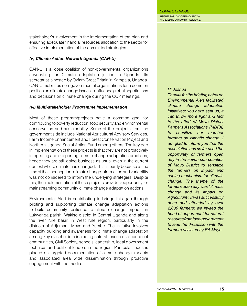*CLIMATE CHANGE*

INSIGHTS FOR LONG TERM ADAPTATION AND BUILDING COMMUNITY RESILIENCE.

stakeholder's involvement in the implementation of the plan and ensuring adequate financial resources allocation to the sector for effective implementation of the committed strategies.

#### *(v) Climate Action Network Uganda (CAN-U)*

CAN-U is a loose coalition of non-governmental organizations advocating for Climate adaptation justice in Uganda. Its secretariat is hosted by Oxfam Great Britain in Kampala, Uganda. CAN-U mobilizes non-governmental organizations for a common position on climate change issues to influence global negotiations and decisions on climate change during the COP meetings.

#### *(vi) Multi-stakeholder Programme Implementation*

Most of these program/projects have a common goal for contributing to poverty reduction, food security and environmental conservation and sustainability. Some of the projects from the government side include National Agricultural Advisory Services, Farm Income Enhancement and Forest Conservation Project and Northern Uganda Social Action Fund among others. The key gap in implementation of these projects is that they are not proactively integrating and supporting climate change adaptation practices, hence they are still doing business as usual even in the current context where climate has changed. This is partly because at the time of their conception, climate change information and variability was not considered to inform the underlying strategies. Despite this, the implementation of these projects provides opportunity for mainstreaming community climate change adaptation actions.

Environmental Alert is contributing to bridge this gap through piloting and supporting climate change adaptation actions to build community resilience to climate change impacts in Lukwanga parish, Wakiso district in Central Uganda and along the river Nile basin in West Nile region, particularly in the districts of Adjumani, Moyo and Yumbe. The initiative involves capacity building and awareness for climate change adaptation among key stakeholders including natural resources dependent communities, Civil Society, schools leadership, local government technical and political leaders in the region. Particular focus is placed on targeted documentation of climate change impacts and associated area wide dissemination through proactive engagement with the media.

#### *Hi Joshua*

*Thanks for the briefing notes on Environmental Alert facilitated climate change adaptation initiatives; you have sent us, it can throw more light and fact to the effort of Moyo District Farmers Associations (MDFA) to sensitize her member farmers on climatic change. I am glad to inform you that the association has so far used the opportunity of farmers open day in the seven sub counties of Moyo District to sensitize the farmers on impact and coping mechanism for climatic change. The theme of the farmers open day was 'climatic change and its impact on Agriculture'. It was successfully done and attended by over 2,000 farmers; we invited the head of department for natural resource from local government to lead the discussion with the farmers assisted by EA Moyo.*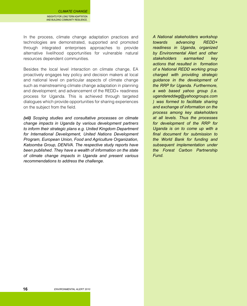In the process, climate change adaptation practices and technologies are demonstrated, supported and promoted through integrated enterprises approaches to provide alternative livelihood opportunities for vulnerable natural resources dependent communities.

Besides the local level interaction on climate change, EA proactively engages key policy and decision makers at local and national level on particular aspects of climate change such as mainstreaming climate change adaptation in planning and development; and advancement of the REDD+ readiness process for Uganda. This is achieved through targeted dialogues which provide opportunities for sharing experiences on the subject from the field.

*(vii) Scoping studies and consultative processes on climate change impacts in Uganda by various development partners to inform their strategic plans e.g. United Kingdom Department for International Development, United Nations Development Program, European Union, Food and Agriculture Organization, Katoomba Group, DENIVA. The respective study reports have been published. They have a wealth of information on the state of climate change impacts in Uganda and present various recommendations to address the challenge.*

*A National stakeholders workshop towards advancing REDD+ readiness in Uganda, organized by Environmental Alert and other stakeholders earmarked key actions that resulted in formation of a National REDD working group charged with providing strategic guidance in the development of the RRP for Uganda. Furthermore, a web based yahoo group (i.e. ugandareddwg@yahoogroups.com ) was formed to facilitate sharing and exchange of information on the process among key stakeholders at all levels. Thus the processes for development of the RRP for Uganda is on to come up with a final document for submission to the World Bank for funding and subsequent implementation under the Forest Carbon Partnership Fund.*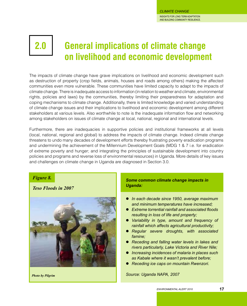## **2.0 General implications of climate change on livelihood and economic development**

The impacts of climate change have grave implications on livelihood and economic development such as destruction of property (crop fields, animals, houses and roads among others) making the affected communities even more vulnerable. These communities have limited capacity to adapt to the impacts of climate change. There is inadequate access to information (in relation to weather and climate, environmental rights, policies and laws) by the communities, thereby limiting their preparedness for adaptation and coping mechanisms to climate change. Additionally, there is limited knowledge and varied understanding of climate change issues and their implications to livelihood and economic development among different stakeholders at various levels. Also worthwhile to note is the inadequate information flow and networking among stakeholders on issues of climate change at local, national, regional and international levels.

Furthermore, there are inadequacies in supportive policies and institutional frameworks at all levels (local, national, regional and global) to address the impacts of climate change. Indeed climate change threatens to undo many decades of development efforts thereby frustrating poverty eradication programs and undermining the achievement of the Millennium Development Goals (MDG 1 & 7 i.e. for eradication of extreme poverty and hunger; and integrating the principles of sustainable development into country policies and programs and reverse loss of environmental resources) in Uganda. More details of key issues and challenges on climate change in Uganda are diagnosed in Section 3.0.

#### *Figure 8.*

#### *Teso Floods in 2007*



*Photo by Pilgrim* 

#### *Some common climate change impacts in Uganda:*

- *In each decade since 1950, average maximum and minimum temperatures have increased;*
- *Extreme torrential rainfall and associated floods resulting in loss of life and property;*
- *Variability in type, amount and frequency of rainfall which affects agricultural productivity;*
- *Regular severe droughts, with associated famine;*
- *Receding and falling water levels in lakes and rivers particularly, Lake Victoria and River Nile;*
- *Increasing incidences of malaria in places such as Kabale where it wasn't prevalent before;*
- *Receding ice caps on mountain Rwenzori.*

*Source: Uganda NAPA, 2007*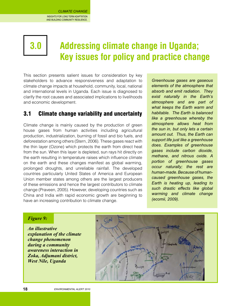## **3.0 Addressing climate change in Uganda; Key issues for policy and practice change**

This section presents salient issues for consideration by key stakeholders to advance responsiveness and adaptation to climate change impacts at household, community, local, national and international levels in Uganda. Each issue is diagnosed to clarify the root causes and associated implications to livelihoods and economic development.

#### 3.1 Climate change variability and uncertainty

Climate change is mainly caused by the production of green house gases from human activities including agricultural production, industrialization, burning of fossil and bio fuels, and deforestation among others (Stern, 2006). These gases react with the thin layer (Ozone) which protects the earth from direct heat from the sun. When this layer is depleted, sun rays hit directly on the earth resulting in temperature raises which influence climate on the earth and these changes manifest as global warming, prolonged droughts, and unreliable rainfall. The developed countries particularly United States of America and European Union member states among others are the largest producers of these emissions and hence the largest contributors to climate change (Praveen, 2005). However, developing countries such as China and India with rapid economic growth are beginning to have an increasing contribution to climate change.

*Greenhouse gases are gaseous elements of the atmosphere that absorb and emit radiation. They exist naturally in the Earth's atmosphere and are part of what keeps the Earth warm and habitable. The Earth is balanced like a greenhouse whereby the atmosphere allows heat from the sun in, but only lets a certain amount out. Thus, the Earth can support life just like a greenhouse does. Examples of greenhouse gases include carbon dioxide, methane, and nitrous oxide. A portion of greenhouse gases occur naturally; the rest are human-made. Because of humancaused greenhouse gases, the Earth is heating up, leading to such drastic effects like global warming and climate change (ecomii, 2009).*

#### *Figure 9:*

*An illustrative explanation of the climate change phenomenon during a community awareness interaction in Zoka, Adjumani district, West Nile, Uganda* 

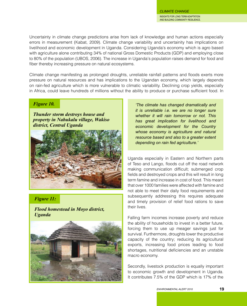Uncertainty in climate change predictions arise from lack of knowledge and human actions especially errors in measurement (Kabat, 2009). Climate change variability and uncertainity has implications on livelihood and economic development in Uganda. Considering Uganda's economy which is agro based with agriculture alone contributing 34% of national Gross Domestic Products (GDP) and employing close to 80% of the population (UBOS, 2006). The increase in Uganda's population raises demand for food and fiber thereby increasing pressure on natural ecosystems.

Climate change manifesting as prolonged droughts, unreliable rainfall patterns and floods exerts more pressure on natural resources and has implications to the Ugandan economy, which largely depends on rain-fed agriculture which is more vulnerable to climatic variability. Declining crop yields, especially in Africa, could leave hundreds of millions without the ability to produce or purchase sufficient food. In

#### *Figure 10.*

*Thunder storm destroys house and property in Nabukalu village, Wakiso district, Central Uganda* 



#### *Figure 11:*

*Flood homestead in Moyo district, Uganda* 



*'The climate has changed dramatically and it is unreliable i.e. we are no longer sure whether it will rain tomorrow or not. This has great implication for livelihood and economic development for the Country whose economy is agriculture and natural resource based and also to a greater extent depending on rain fed agriculture.'*

Uganda especially in Eastern and Northern parts of Teso and Lango, floods cut off the road network making communication difficult; submerged crop fields and destroyed crops and this will result in long term famine and increase in cost of food. This meant that over 1000 families were affected with famine and not able to meet their daily food requirements and subsequently addressing this requires adequate and timely provision of relief food rations to save their lives.

Falling farm incomes increase poverty and reduce the ability of households to invest in a better future, forcing them to use up meager savings just for survival. Furthermore, droughts lower the productive capacity of the country; reducing its agricultural exports, increasing food prices leading to food shortages, nutritional deficiencies and an unstable macro economy.

Secondly, livestock production is equally important to economic growth and development in Uganda. It contributes 7.5% of the GDP which is 17% of the

*ENVIRONMENTAL ALERT 2010*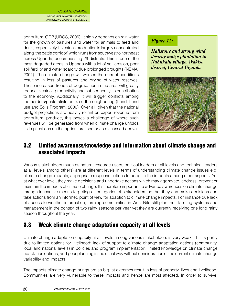agricultural GDP (UBOS, 2006). It highly depends on rain water for the growth of pastures and water for animals to feed and drink, respectively. Livestock production is largely concentrated along 'the cattle corridor' which runs from southwest to northeast across Uganda, encompassing 29 districts. This is one of the most degraded areas in Uganda with a lot of soil erosion, poor soil fertility and water scarcity due prolonged droughts (NEMA, 2001). The climate change will worsen the current conditions resulting in loss of pastures and drying of water reserves. These increased trends of degradation in the area will greatly reduce livestock productivity and subsequently its contribution to the economy. Additionally, it will trigger conflicts among the herders/pastoralists but also the neighboring (Land, Land use and Soils Program, 2006). Over all, given that the national budget projections are heavily reliant on export revenue from agricultural produce, this poses a challenge of where such revenues will be generated from when climate change unfolds its implications on the agricultural sector as discussed above.

#### *Figure 12:*

*Hailstone and strong wind destroy maize plantation in Nabukalu village, Wakiso district, Central Uganda* 



#### 3.2 Limited awareness/knowledge and information about climate change and associated impacts

Various stakeholders (such as natural resource users, political leaders at all levels and technical leaders at all levels among others) are at different levels in terms of understanding climate change issues e.g. climate change impacts, appropriate response actions to adapt to the impacts among other aspects. Yet at what ever level, they make decisions and undertake actions which may aggravate, address, prevent or maintain the impacts of climate change. It's therefore important to advance awareness on climate change through innovative means targeting all categories of stakeholders so that they can make decisions and take actions from an informed point of view for adaption to climate change impacts. For instance due lack of access to weather information, farming communities in West Nile still plan their farming systems and management in the context of two rainy seasons per year yet they are currently receiving one long rainy season throughout the year.

#### 3.3 Weak climate change adaptation capacity at all levels

Climate change adaptation capacity at all levels among various stakeholders is very weak. This is partly due to limited options for livelihood; lack of support to climate change adaptation actions (community, local and national levels) in policies and program implementation; limited knowledge on climate change adaptation options; and poor planning in the usual way without consideration of the current climate change variability and impacts.

The impacts climate change brings are so big, at extremes result in loss of property, lives and livelihood. Communities are very vulnerable to these impacts and hence are most affected. In order to survive,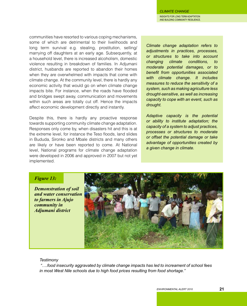communities have resorted to various coping mechanisms, some of which are detrimental to their livelihoods and long term survival e.g. stealing, prostitution, selling/ marrying off daughters at an early age. Subsequently, at a household level, there is increased alcoholism, domestic violence resulting in breakdown of families. In Adjumani district, husbands are reported to abandon their homes when they are overwhelmed with impacts that come with climate change. At the community level, there is hardly any economic activity that would go on when climate change impacts bite. For instance, when the roads have flooded and bridges swept away, communication and movements within such areas are totally cut off. Hence the impacts affect economic development directly and instantly.

Despite this, there is hardly any proactive response towards supporting community climate change adaptation. Responses only come by, when disasters hit and this is at the extreme level, for instance the Teso floods, land slides in Bududa, Sironko and Mbale districts and many others are likely or have been reported to come. At National level, National programs for climate change adaptation were developed in 2006 and approved in 2007 but not yet implemented.

*Climate change adaptation refers to adjustments in practices, processes, or structures to take into account changing climate conditions, to moderate potential damages, or to benefit from opportunities associated with climate change. It includes measures to reduce the sensitivity of a system, such as making agriculture less drought-sensitive, as well as increasing capacity to cope with an event, such as drought.*

*Adaptive capacity is the potential or ability to institute adaptation; the capacity of a system to adjust practices, processes or structures to moderate or offset the potential damage or take advantage of opportunities created by a given change in climate.*

#### *Figure 13:*

*Demonstration of soil and water conservation to farmers in Ajujo community in Adjumani district*



#### *Testimony*

 *"….food insecurity aggravated by climate change impacts has led to increament of school fees in most West Nile schools due to high food prices resulting from food shortage."*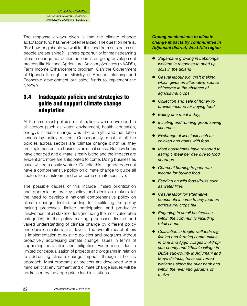The response always given is that the climate change adaptation fund has never been realized. The question here is, "For how long should we wait for this fund from outside as our people are perishing?" Is there opportunity for mainstreaming climate change adaptation actions in on going development projects like National Agricultural Advisory Services (NAADS), Farm Income Enhancement program, Can the Government of Uganda through the Ministry of Finance, planning and Economic development put aside funds to implement the NAPAs?

#### 3.4 Inadequate policies and strategies to guide and support climate change adaptation

At the time most policies or all policies were developed in all sectors (such as water, environment, health, education, energy), climate change was like a myth and not taken serious by policy makers. Consequently, most or all the policies across sectors are 'climate change blind' i.e. they are implemented in a business as usual sense. But now times have changed and climate is really biting and the impacts are evident and more are anticipated to come. Doing business as usual will be a costly venture. Despite this, Uganda does not have a comprehensive policy on climate change to guide all sectors to mainstream and or become climate sensitive.

The possible causes of this include limited prioritization and appreciation by key policy and decision makers for the need to develop a national comprehensive policy on climate change; limited funding for facilitating the policy making processes, limited participation and productive involvement of all stakeholders (including the most vulnerable categories) in the policy making processes; limited and varied understanding of climate change by different policy and decision makers at all levels. The overall impact of this is implementation of existing policies and programs without proactively addressing climate change issues in terms of supporting adaptation and mitigation. Furthermore, due to limited conceptualization of projects and programs in relation to addressing climate change impacts through a holistic approach. Most programs or projects are developed with a mind set that environment and climate change issues will be addressed by the appropriate lead institutions

*Coping mechanisms to climate change impacts by communities in Adjumani district, West Nile region* 

- *Sugarcane growing in Labolonga wetland in response to dried up soils in the upland*
- *Casual labour e.g. craft making which gives an alternative source of income in the absence of agricultural crops*
- *Collection and sale of honey to provide income for buying food*
- *Eating one meal a day;*
- *Initiating and running group saving schemes*
- *Exchange of livestock such as chicken and goats with food*
- *Most households have resorted to eating 1 meal per day due to food shortage*
- *Charcoal burning to generate income for buying food*
- *Feeding on wild foods/fruits such as water lilies*
- *Casual labor for alternative household income to buy food as agricultural crops fail*
- *Engaging in small businesses within the community including retail shops*
- *Cultivation in fragile wetlands e.g. fishing and farming communities in Omi and Ajujo villages in Adropi sub-county and Gbalala village in Dufile sub-county in Adjumani and Moyo districts, have converted wetlands along the river bank and within the river into gardens of maize.*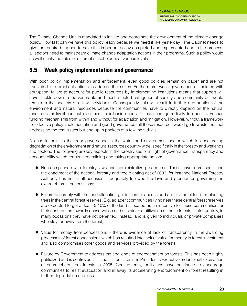The Climate Change Unit is mandated to initiate and coordinate the development of the climate change policy. How fast can we have this policy ready because we need it like yesterday? The Cabinet needs to give the required support to have this important policy completed and implemented and in the process, all sectors need to mainstream climate change adaptation actions in their programs. Such a policy would as well clarify the roles of different stakeholders at various levels.

#### 3.5 Weak policy implementation and governance

With poor policy implementation and enforcement, even good policies remain on paper and are not translated into practical actions to address the issues. Furthermore, weak governance associated with corruption, failure to account for public resources by implementing institutions means that support will never trickle down to the venerable and most affected categories of society and community but would remain in the pockets of a few individuals. Consequently, this will result in further degradation of the environment and natural resources because the communities have to directly depend on the natural resources for livelihood but also meet their basic needs. Climate change is likely to open up various funding mechanisms from within and without for adaptation and mitigation. However, without a framework for effective policy implementation and good governance, all these resources would go to waste thus not addressing the real issues but end up in pockets of a few individuals.

A case in point is the poor governance in the water and environment sector which is accelerating degradation of the environment and natural resources country wide, specifically in the forestry and wetlands sub sectors. The following are key aspects in the forestry sector in light of governance, transparency and accountability which require streamlining and taking appropriate action:

- Non-compliance with forestry laws and administrative procedures. These have increased since the enactment of the national forestry and tree planting act of 2003, for instance National Forestry Authority has not at all occasions adequately followed the laws and procedures governing the award of forest concessions;
- Failure to comply with the land allocation guidelines for access and acquisition of land for planting trees in the central forest reserves. E.g. adjacent communities living near these central forest reserves are expected to get at least 5-10% of the land allocated as an incentive for these communities for their contribution towards conservation and sustainable utilization of these forests. Unfortunately, in many occasions they have not benefited, instead land is given to individuals or private companies who stay far away from the forest;
- Value for money from concessions there is evidence of lack of transparency in the awarding processes of forest concessions which has resulted into lack of value for money in forest investment and also compromises other goods and services provided by the forests;
- Failure by Government to address the challenge of encroachment on forests. This has been highly politicized and is controversial issue. It stems from the President's Executive order to halt excavation of encroachers from forests in 2005. Consequently, politicians have continued to encourage communities to resist evacuation and in away its accelerating encroachment on forest resulting in further degradation and loss.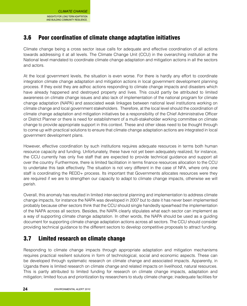#### 3.6 Poor coordination of climate change adaptation initiatives

Climate change being a cross sector issue calls for adequate and effective coordination of all actions towards addressing it at all levels. The Climate Change Unit (CCU) in the overarching institution at the National level mandated to coordinate climate change adaptation and mitigation actions in all the sectors and actors.

At the local government levels, the situation is even worse. For there is hardly any effort to coordinate integration climate change adaptation and mitigation actions in local government development planning process. If they exist they are adhoc actions responding to climate change impacts and disasters which have already happened and destroyed property and lives. This could partly be attributed to limited awareness on climate change issues and also lack of implementation of the national program for climate change adaptation (NAPA) and associated weak linkages between national level institutions working on climate change and local government stakeholders. Therefore, at the local level should the coordination of climate change adaptation and mitigation initiatives be a responsibility of the Chief Administrative Officer or District Planner or there is need for establishment of a multi-stakeholder working committee on climate change to provide appropriate support in this context. These and other ideas need to be thought through to come up with practical solutions to ensure that climate change adaptation actions are integrated in local government development plans.

However, effective coordination by such institutions requires adequate resources in terms both human resource capacity and funding. Unfortunately, these have not yet been adequately realized, for instance, the CCU currently has only five staff that are expected to provide technical guidance and support all over the country. Furthermore, there is limited facilitation in terms finance resources allocation to the CCU to undertake this task effectively. The situation is not very different in the case of NFA, where only one staff is coordinating the REDD+ process. Its important that Governments allocates resources were they are required if we are to strengthen our capacity to adapt to climate change impacts, otherwise we will perish.

Overall, this anomaly has resulted in limited inter-sectoral planning and implementation to address climate change impacts, for instance the NAPA was developed in 2007 but to date it has never been implemented probably because other sectors think that the CCU should single handedly spearhead the implementation of the NAPA across all sectors. Besides, the NAPA clearly stipulates what each sector can implement as a way of supporting climate change adaptation. In other words, the NAPA should be used as a guiding document for supporting climate change adaptation actions across all sectors. The CCU should consider providing technical guidance to the different sectors to develop competitive proposals to attract funding.

### 3.7 Limited research on climate change

Responding to climate change impacts through appropriate adaptation and mitigation mechanisms requires practical resilient solutions in form of technological, social and economic aspects. These can be developed through systematic research on climate change and associated impacts. Apparently, in Uganda there is limited research on climate change and related impacts on livelihood, natural resources. This is partly attributed to limited funding for research on climate change impacts, adaptation and mitigation; limited focus and prioritization by researchers to study climate change; inadequate facilities for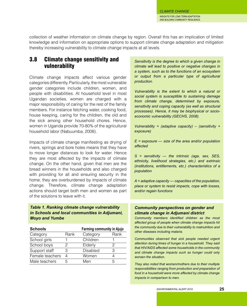collection of weather information on climate change by region. Overall this has an implication of limited knowledge and information on appropriate options to support climate change adaptation and mitigation thereby increasing vulnerability to climate change impacts at all levels.

#### 3.8 Climate change sensitivity and vulnerability

Climate change impacts affect various gender categories differently. Particularly, the most vulnerable gender categories include children, women, and people with disabilities. At household level in most Ugandan societies, women are charged with a major responsibility of caring for the rest of the family members. For instance fetching water, cooking food, house keeping, caring for the children, the old and the sick among other household chores. Hence, women in Uganda provide 70-80% of the agricultural household labor (Nabuumba, 2008).

Impacts of climate change manifesting as drying of rivers, springs and bore holes means that they have to move longer distances to look for water. Hence they are most affected by the impacts of climate change. On the other hand, given that men are the bread winners in the households and also charged with providing for all and ensuring security in the home, they are overburdened by impacts of climate change. Therefore, climate change adaptation actions should target both men and women as part of the solutions to leave with it.

#### *Table 1. Ranking climate change vulnerability in Schools and local communities in Adjumani, Moyo and Yumbe*

| <b>Schools</b>  |      | <b>Farming community in Ajujo</b> |      |
|-----------------|------|-----------------------------------|------|
| Category        | Rank | Category                          | Rank |
| School girls    |      | Children                          |      |
| School boys     | っ    | Elderly                           | っ    |
| Support staff   | З    | Disabled                          | З    |
| Female teachers | 4    | Women                             |      |
| Male teachers   | 5    | Men                               | 5    |

*Sensitivity is the degree to which a given change in climate will lead to positive or negative changes in a system, such as to the functions of an ecosystem or output from a particular type of agricultural production.*

*Vulnerability is the extent to which a natural or social system is susceptible to sustaining damage from climate change, determined by exposure, sensitivity and coping capacity (as well as structural processes). Hence, it may be biophysical or socioeconomic vulnerability (GECHS, 2008).* 

*Vulnerability = (adaptive capacity) – (sensitivity + exposure)*

*E = exposure — size of the area and/or population affected* 

*S = sensitivity — the intrinsic (age, sex, SES, ethnicity, livelihood strategies, etc.) and extrinsic (institutions, entitlements, etc.) characteristics of a population*

*A = adaptive capacity — capacities of the population, place or system to resist impacts, cope with losses, and/or regain functions*

#### *Community perspectives on gender and climate change in Adjumani district*

*Community members identified children as the most affected group of people when climate change impacts hit the community due to their vulnerability to malnutrition and other diseases including malaria.* 

*Communities observed that sick people needed urgent attention during times of hunger in a household. They said that HIV/AIDS affected some households in the community and climate change impacts such as hunger could only worsen the situation.*

*They also noted that women/mothers due to their multiple responsibilities ranging from production and preparation of food in a household were more affected by climate change impacts in comparison to men.* 

*ENVIRONMENTAL ALERT 2010*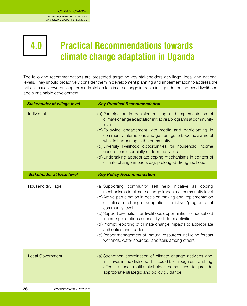

## **4.0 Practical Recommendations towards climate change adaptation in Uganda**

The following recommendations are presented targeting key stakeholders at village, local and national levels. They should proactively consider them in development planning and implementation to address the critical issues towards long term adaptation to climate change impacts in Uganda for improved livelihood and sustainable development.

| <b>Stakeholder at village level</b> | <b>Key Practical Recommendation</b>                                                                                                                                                                                                                                                                                                                                                                                                                                                                                                                                                                       |
|-------------------------------------|-----------------------------------------------------------------------------------------------------------------------------------------------------------------------------------------------------------------------------------------------------------------------------------------------------------------------------------------------------------------------------------------------------------------------------------------------------------------------------------------------------------------------------------------------------------------------------------------------------------|
| Individual                          | (a) Participation in decision making and implementation of<br>climate change adaptation initiatives/programs at community<br>level<br>(b) Following engagement with media and participating in<br>community interactions and gatherings to become aware of<br>what is happening in the community<br>(c) Diversify livelihood opportunities for household income<br>generations especially off-farm activities<br>(d) Undertaking appropriate coping mechanisms in context of<br>climate change impacts e.g. prolonged droughts, floods                                                                    |
| <b>Stakeholder at local level</b>   | <b>Key Policy Recommendation</b>                                                                                                                                                                                                                                                                                                                                                                                                                                                                                                                                                                          |
| Household/Village                   | (a) Supporting community self help initiative as coping<br>mechanisms to climate change impacts at community level<br>(b) Active participation in decision making and implementation<br>of climate change adaptation initiatives/programs at<br>community level<br>(c) Support diversification livelihood opportunities for household<br>income generations especially off-farm activities<br>(d) Prompt reporting of climate change impacts to appropriate<br>authorities and leader<br>(e) Proper management of natural resources including forests<br>wetlands, water sources, land/soils among others |
| <b>Local Government</b>             | (a) Strengthen coordination of climate change activities and<br>initiatives in the districts. This could be through establishing<br>effective local multi-stakeholder committees to provide<br>appropriate strategic and policy guidance                                                                                                                                                                                                                                                                                                                                                                  |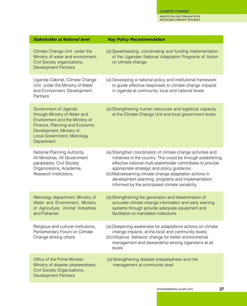| <b>Stakeholder at National level</b>                                                                                                                                                                | <b>Key Policy Recommendation</b>                                                                                                                                                                                                                                                                                                                                                                             |
|-----------------------------------------------------------------------------------------------------------------------------------------------------------------------------------------------------|--------------------------------------------------------------------------------------------------------------------------------------------------------------------------------------------------------------------------------------------------------------------------------------------------------------------------------------------------------------------------------------------------------------|
| Climate Change Unit under the<br>Ministry of water and environment,<br>Civil Society organizations,<br><b>Development Partners</b>                                                                  | (a) Spearheading, coordinating and funding implementation<br>of the Ugandan National Adaptation Programs of Action<br>on climate change                                                                                                                                                                                                                                                                      |
| Uganda Cabinet, Climate Change<br>Unit under the Ministry of Water<br>and Environment, Development<br>Partners                                                                                      | (a) Developing a national policy and institutional framework<br>to guide effective responses to climate change impacts<br>in Uganda at community, local and national levels                                                                                                                                                                                                                                  |
| Government of Uganda<br>through Ministry of Water and<br>Environment and the Ministry of<br>Finance, Planning and Economic<br>Development, Ministry of<br>Local Government, Metrology<br>Department | (a) Strengthening human resources and logistical capacity<br>at the Climate Change Unit and local government levels                                                                                                                                                                                                                                                                                          |
| National Planning Authority,<br>All Ministries, All Government<br>parastatals, Civil Society<br>Organizations, Academia,<br>Research Institutions,                                                  | (a) Strengthen coordination of climate change activities and<br>initiatives in the country. This could be through establishing<br>effective national multi-stakeholder committees to provide<br>appropriate strategic and policy guidance;<br>(b) Mainstreaming climate change adaptation actions in<br>development planning, programs and implementation<br>informed by the anticipated climate variability |
| Metrology department, Ministry of<br>Water and Environment, Ministry<br>of Agriculture, Animal Industries<br>and Fisheries                                                                          | (a) Strengthening the generation and dissemination of<br>accurate climate change information and early warning<br>systems through provide adequate equipment and<br>facilitation to mandated institutions                                                                                                                                                                                                    |
| Religious and cultural institutions,<br>Parliamentary Forum on Climate<br>Change among others                                                                                                       | (a) Deepening awareness for adaptations actions on climate<br>change impacts, at the local and community levels;<br>(b) Influence behavior change for better environmental<br>management and stewardship among Ugandans at all<br>levels                                                                                                                                                                     |
| Office of the Prime Minister,<br>Ministry of disaster preparedness,<br>Civil Society Organizations,<br><b>Development Partners</b>                                                                  | (a) Strengthening disaster preparedness and risk<br>management at community level                                                                                                                                                                                                                                                                                                                            |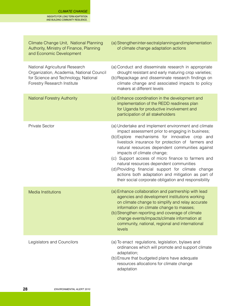| Climate Change Unit, National Planning<br>Authority, Ministry of Finance, Planning<br>and Economic Development                                    | (a) Strengtheninter-sectral planning and implementation<br>of climate change adaptation actions                                                                                                                                                                                                                                                                                                                                                                                                                                                                     |
|---------------------------------------------------------------------------------------------------------------------------------------------------|---------------------------------------------------------------------------------------------------------------------------------------------------------------------------------------------------------------------------------------------------------------------------------------------------------------------------------------------------------------------------------------------------------------------------------------------------------------------------------------------------------------------------------------------------------------------|
| National Agricultural Research<br>Organization, Academia, National Council<br>for Science and Technology, National<br>Forestry Research Institute | (a) Conduct and disseminate research in appropriate<br>drought resistant and early maturing crop varieties;<br>(b) Repackage and disseminate research findings on<br>climate change and associated impacts to policy<br>makers at different levels                                                                                                                                                                                                                                                                                                                  |
| <b>National Forestry Authority</b>                                                                                                                | (a) Enhance coordination in the development and<br>implementation of the REDD readiness plan<br>for Uganda for productive involvement and<br>participation of all stakeholders                                                                                                                                                                                                                                                                                                                                                                                      |
| <b>Private Sector</b>                                                                                                                             | (a) Undertake and implement environment and climate<br>impact assessment prior to engaging in business;<br>(b) Explore mechanisms for innovative crop and<br>livestock insurance for protection of farmers and<br>natural resources dependent communities against<br>impacts of climate change;<br>(c) Support access of micro finance to farmers and<br>natural resources dependent communities<br>(d) Providing financial support for climate change<br>actions both adaptation and mitigation as part of<br>their social corporate obligation and responsibility |
| <b>Media Institutions</b>                                                                                                                         | (a) Enhance collaboration and partnership with lead<br>agencies and development institutions working<br>on climate change to simplify and relay accurate<br>information on climate change to masses;<br>(b) Strengthen reporting and coverage of climate<br>change events/impacts/climate information at<br>community, national, regional and international<br>levels                                                                                                                                                                                               |
| Legislators and Councilors                                                                                                                        | (a) To enact regulations, legislation, bylaws and<br>ordinances which will promote and support climate<br>adaptation;<br>(b) Ensure that budgeted plans have adequate<br>resources allocations for climate change<br>adaptation                                                                                                                                                                                                                                                                                                                                     |

*CLIMATE CHANGE*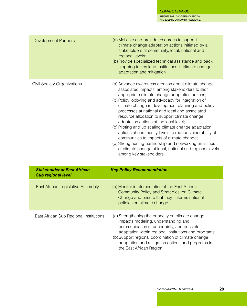| <b>Development Partners</b>                                     | (a) Mobilize and provide resources to support<br>climate change adaptation actions initiated by all<br>stakeholders at community, local, national and<br>regional levels;<br>(b) Provide specialized technical assistance and back<br>stopping to key lead Institutions in climate change<br>adaptation and mitigation                                                                                                                                                                                                                                                                                                                                                                                                              |
|-----------------------------------------------------------------|-------------------------------------------------------------------------------------------------------------------------------------------------------------------------------------------------------------------------------------------------------------------------------------------------------------------------------------------------------------------------------------------------------------------------------------------------------------------------------------------------------------------------------------------------------------------------------------------------------------------------------------------------------------------------------------------------------------------------------------|
| Civil Society Organizations                                     | (a) Advance awareness creation about climate change,<br>associated impacts among stakeholders to illicit<br>appropriate climate change adaptation actions;<br>(b) Policy lobbying and advocacy for integration of<br>climate change in development planning and policy<br>processes at national and local and associated<br>resource allocation to support climate change<br>adaptation actions at the local level;<br>(c) Piloting and up scaling climate change adaptation<br>actions at community levels to reduce vulnerability of<br>communities to impacts of climate change;<br>(d) Strengthening partnership and networking on issues<br>of climate change at local, national and regional levels<br>among key stakeholders |
| <b>Stakeholder at East African</b><br><b>Sub regional level</b> | <b>Key Policy Recommendation</b>                                                                                                                                                                                                                                                                                                                                                                                                                                                                                                                                                                                                                                                                                                    |
| East African Legislative Assembly                               | (a) Monitor implementation of the East African<br>Community Policy and Strategies on Climate<br>Change and ensure that they informs national<br>policies on climate change                                                                                                                                                                                                                                                                                                                                                                                                                                                                                                                                                          |
| East African Sub Regional Institutions                          | (a) Strengthening the capacity on climate change<br>impacts modeling, understanding and<br>communication of uncertainty, and possible<br>adaptation within regional institutions and programs<br>(b) Support regional coordination of climate change<br>adaptation and mitigation actions and programs in<br>the East African Region                                                                                                                                                                                                                                                                                                                                                                                                |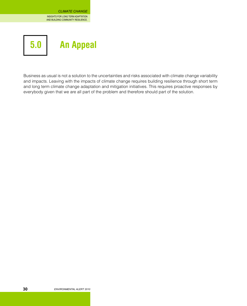# **5.0 An Appeal**

Business as usual is not a solution to the uncertainties and risks associated with climate change variability and impacts. Leaving with the impacts of climate change requires building resilience through short term and long term climate change adaptation and mitigation initiatives. This requires proactive responses by everybody given that we are all part of the problem and therefore should part of the solution.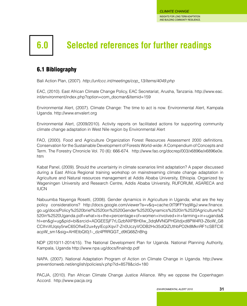## **6.0 Selected references for further readings**

### 6.1 Bibliography

Bali Action Plan, (2007). *http://unfccc.int/meetings/cop\_13/items/4049.php* 

EAC, (2010). East African Climate Change Policy, EAC Secretariat, Arusha, Tanzania. http://www.eac. int/environment/index.php?option=com\_docman&Itemid=159

Environmental Alert, (2007). Climate Change: The time to act is now. Environmental Alert, Kampala Uganda. http://www.envalert.org

Environmental Alert, (2009/2010). Activity reports on facilitated actions for supporting community climate change adaptation in West Nile region by Environmental Alert

FAO, (2000). Food and Agriculture Organization Forest Resources Assessment 2000 definitions. Conservation for the Sustainable Development of Forests World-wide: A Compendium of Concepts and Term. The Forestry Chronicle Vol. 70 (6): 666-674. http://www.fao.org/docrep/003/x6896e/x6896e0e. htm

Kabat Panel, (2009). Should the uncertainty in climate scenarios limit adaptation? A paper discussed during a East Africa Regional training workshop on mainstreaming climate change adaptation in Agriculture and Natural resources management at Addis Ababa University, Ethiopia. Organized by Wageningen University and Research Centre, Addis Ababa University, RUFORUM, ASARECA and IUCN

Nabuumba Nayenga Rosetti, (2008). Gender dynamics in Agriculture in Uganda; what are the key policy considerations? http://docs.google.com/viewer?a=v&q=cache:0tT9FFYsqWgJ:www.finance. go.ug/docs/Policy%2520brief%2520on%2520Gender%2520Dynamics%2520in%2520Agriculture%2 520in%2520Uganda.pdf+what+is+the+percentage+of+women+involved+in+farming+in+uganda& hl=en&gl=ug&pid=bl&srcid=ADGEESjF7rLGzbNXPBH0Iw\_3dqMVNGPHGltdjxd8PW4R3-Z6oW\_G8 CCIhnXUqsy5rwC65OflwE2ux4yylEcpXqvi7-Zn0UczyVODB2Hx35dQlZUthbPO2k8MknRF1cSBTClE acpW\_sm1&sig=AHIEtbQt0j1-\_dz4PRRGGT\_d9tG68ZnBhg

NDP (2010/11-2014/15). The National Development Plan for Uganda. National Planning Authority, Kampala, Uganda http://www.npa.ug/docs/finalndp.pdf

NAPA. (2007). National Adaptation Program of Action on Climate Change in Uganda. http://www. preventionweb.net/english/policies/v.php?id=8578&cid=180

PACJA, (2010). Pan African Climate Change Justice Alliance. Why we oppose the Copenhagen Accord. http://www.pacja.org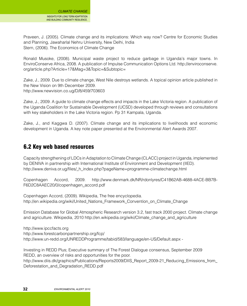Praveen, J. (2005). Climate change and its implications: Which way now? Centre for Economic Studies and Planning, Jawaharlal Nehru University, New Delhi, India Stern, (2006). The Economics of Climate Change

Ronald Musoke, (2008). Municipal waste project to reduce garbage in Uganda's major towns. In EnviroConserve Africa, 2008. A publication of Impulse Communication Options Ltd. http://enviroconserve. org/article.php?Article=17&Mag=3&Topic=&Subtopic=

Zake, J., 2009. Due to climate change, West Nile destroys wetlands. A topical opinion article published in the New Vision on 9th December 2009. http://www.newvision.co.ug/D/8/459/703603

Zake, J., 2009. A guide to climate change effects and impacts in the Lake Victoria region. A publication of the Uganda Coalition for Sustainable Development (UCSD) developed through reviews and consultations with key stakeholders in the Lake Victoria region. Pp 31 Kampala, Uganda.

Zake, J., and Kaggwa D. (2007). Climate change and its implications to livelihoods and economic development in Uganda. A key note paper presented at the Environmental Alert Awards 2007.

#### 6.2 Key web based resources

Capacity strengthening of LDCs in Adaptation to Climate Change (CLACC) project in Uganda, implemented by DENIVA in partnership with International Institute of Environment and Development (IIED). http://www.deniva.or.ug/files/\_h\_index.php?pageName=programme-climatechange.html

Copenhagen Accord, 2009. http://www.denmark.dk/NR/rdonlyres/C41B62AB-4688-4ACE-BB7B-F6D2C8AAEC20/0/copenhagen\_accord.pdf

Copenhagen Accord, (2009). Wikipedia, The free encyclopedia. http://en.wikipedia.org/wiki/United\_Nations\_Framework\_Convention\_on\_Climate\_Change

Emission Database for Global Atmospheric Research version 3.2, fast track 2000 project. Climate change and agriculture. Wikipedia, 2010 http://en.wikipedia.org/wiki/Climate\_change\_and\_agriculture

http://www.ipccfacts.org http://www.forestcarbonpartnership.org/fcp/ http://www.un-redd.org/UNREDDProgramme/tabid/583/language/en-US/Default.aspx -

Investing in REDD Plus; Executive summary of The Forest Dialogue consensus, September 2009 REDD, an overview of risks and opportunities for the poor. http://www.diis.dk/graphics/Publications/Reports2009/DIIS\_Report\_2009-21\_Reducing\_Emissions\_from\_ Deforestation\_and\_Degradation\_REDD.pdf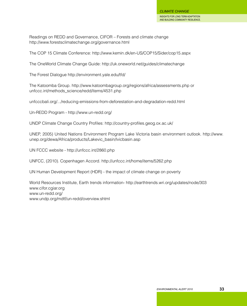Readings on REDD and Governance, CIFOR – Forests and climate change http://www.forestsclimatechange.org/governance.html

The COP 15 Climate Conference: http://www.kemin.dk/en-US/COP15/Sider/cop15.aspx

The OneWorld Climate Change Guide: http://uk.oneworld.net/guides/climatechange

The Forest Dialogue http://environment.yale.edu/tfd/

The Katoomba Group. http://www.katoombagroup.org/regions/africa/assessments.php or unfccc.int/methods\_science/redd/items/4531.php

unfcccbali.org/.../reducing-emissions-from-deforestation-and-degradation-redd.html

Un-REDD Program - http://www.un-redd.org/

UNDP Climate Change Country Profiles: http://country-profiles.geog.ox.ac.uk/

UNEP, 2005) United Nations Environment Program Lake Victoria basin environment outlook. http://www. unep.org/dewa/Africa/products/Lakevic\_basin/lvicbasin.asp

UN FCCC website - http://unfccc.int/2860.php

UNFCC, (2010). Copenhagen Accord. http://unfccc.int/home/items/5262.php

UN Human Development Report (HDR) - the impact of climate change on poverty

World Resources Institute, Earth trends information- http://earthtrends.wri.org/updates/node/303 www.cifor.cgiar.org www.un-redd.org/ www.undp.org/mdtf/un-redd/overview.shtml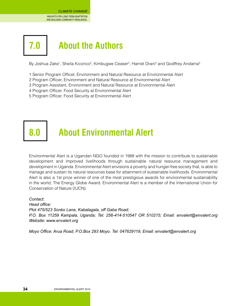## **7.0 About the Authors**

By Joshua Zake1, Sheila Kiconco<sup>2</sup>, Kimbugwe Ceaser<sup>3</sup>, Harriet Drani<sup>4</sup> and Godffrey Andama<sup>5</sup>

1 Senior Program Officer, Environment and Natural Resource at Environmental Alert

- 2 Program Officer, Environment and Natural Resource at Environmental Alert
- 3 Program Assistant, Environment and Natural Resource at Environmental Alert
- 4 Program Officer, Food Security at Environmental Alert
- 5 Program Officer, Food Security at Environmental Alert

### **8.0 About Environmental Alert**

Environmental Alert is a Ugandan NGO founded in 1988 with the mission to contribute to sustainable development and improved livelihoods through sustainable natural resource management and development in Uganda. Environmental Alert envisions a poverty and hunger-free society that, is able to manage and sustain its natural resources base for attainment of sustainable livelihoods. Environmental Alert is also a 1st prize winner of one of the most prestigious awards for environmental sustainability in the world, The Energy Globe Award. Environmental Alert is a member of the International Union for Conservation of Nature (IUCN).

*Contact: Head office: Plot 475/523 Sonko Lane, Kabalagala, off Gaba Road; P.O. Box 11259 Kampala, Uganda; Tel: 256-414-510547 OR 510215; Email: envalert@envalert.org Website: www.envalert.org*

*Moyo Office: Arua Road; P.O.Box 293 Moyo. Tel: 047629119; Email: envalert@envalert.org*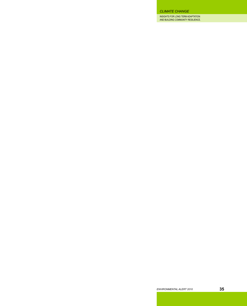*CLIMATE CHANGE*

INSIGHTS FOR LONG TERM ADAPTATION AND BUILDING COMMUNITY RESILIENCE.